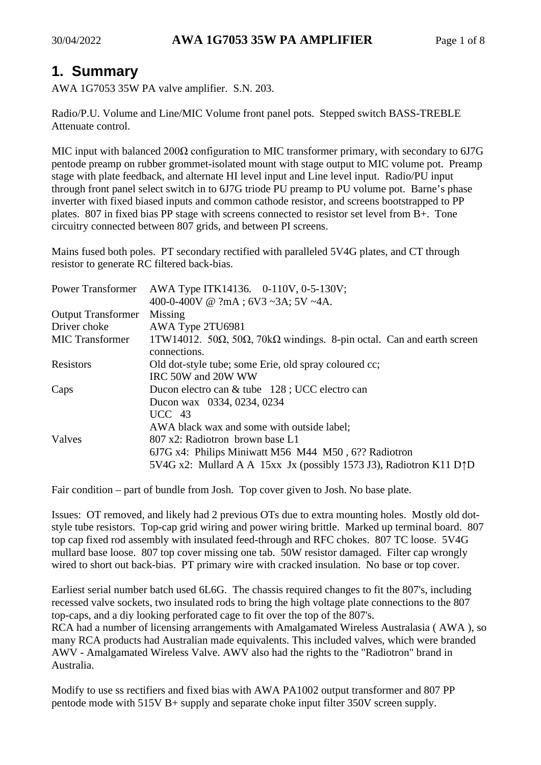## **1. Summary**

AWA 1G7053 35W PA valve amplifier. S.N. 203.

Radio/P.U. Volume and Line/MIC Volume front panel pots. Stepped switch BASS-TREBLE Attenuate control.

MIC input with balanced  $200\Omega$  configuration to MIC transformer primary, with secondary to 6J7G pentode preamp on rubber grommet-isolated mount with stage output to MIC volume pot. Preamp stage with plate feedback, and alternate HI level input and Line level input. Radio/PU input through front panel select switch in to 6J7G triode PU preamp to PU volume pot. Barne's phase inverter with fixed biased inputs and common cathode resistor, and screens bootstrapped to PP plates. 807 in fixed bias PP stage with screens connected to resistor set level from B+. Tone circuitry connected between 807 grids, and between PI screens.

Mains fused both poles. PT secondary rectified with paralleled 5V4G plates, and CT through resistor to generate RC filtered back-bias.

| <b>Power Transformer</b>  | AWA Type ITK14136. 0-110V, 0-5-130V;                                                           |  |  |
|---------------------------|------------------------------------------------------------------------------------------------|--|--|
|                           | 400-0-400V @ ?mA ; 6V3 ~3A; 5V ~4A.                                                            |  |  |
| <b>Output Transformer</b> | Missing                                                                                        |  |  |
| Driver choke              | AWA Type 2TU6981                                                                               |  |  |
| <b>MIC</b> Transformer    | 1TW14012. 50 $\Omega$ , 50 $\Omega$ , 70 $k\Omega$ windings. 8-pin octal. Can and earth screen |  |  |
|                           | connections.                                                                                   |  |  |
| Resistors                 | Old dot-style tube; some Erie, old spray coloured cc;                                          |  |  |
|                           | IRC 50W and 20W WW                                                                             |  |  |
| Caps                      | Ducon electro can & tube 128; UCC electro can                                                  |  |  |
|                           | Ducon wax 0334, 0234, 0234                                                                     |  |  |
|                           | $UCC$ 43                                                                                       |  |  |
|                           | AWA black wax and some with outside label;                                                     |  |  |
| Valves                    | 807 x2: Radiotron brown base L1                                                                |  |  |
|                           | 6J7G x4: Philips Miniwatt M56 M44 M50, 6?? Radiotron                                           |  |  |
|                           | 5V4G x2: Mullard A A 15xx Jx (possibly 1573 J3), Radiotron K11 D $\uparrow$ D                  |  |  |

Fair condition – part of bundle from Josh. Top cover given to Josh. No base plate.

Issues: OT removed, and likely had 2 previous OTs due to extra mounting holes. Mostly old dotstyle tube resistors. Top-cap grid wiring and power wiring brittle. Marked up terminal board. 807 top cap fixed rod assembly with insulated feed-through and RFC chokes. 807 TC loose. 5V4G mullard base loose. 807 top cover missing one tab. 50W resistor damaged. Filter cap wrongly wired to short out back-bias. PT primary wire with cracked insulation. No base or top cover.

Earliest serial number batch used 6L6G. The chassis required changes to fit the 807's, including recessed valve sockets, two insulated rods to bring the high voltage plate connections to the 807 top-caps, and a diy looking perforated cage to fit over the top of the 807's.

RCA had a number of licensing arrangements with Amalgamated Wireless Australasia ( AWA ), so many RCA products had Australian made equivalents. This included valves, which were branded AWV - Amalgamated Wireless Valve. AWV also had the rights to the "Radiotron" brand in Australia.

Modify to use ss rectifiers and fixed bias with AWA PA1002 output transformer and 807 PP pentode mode with 515V B+ supply and separate choke input filter 350V screen supply.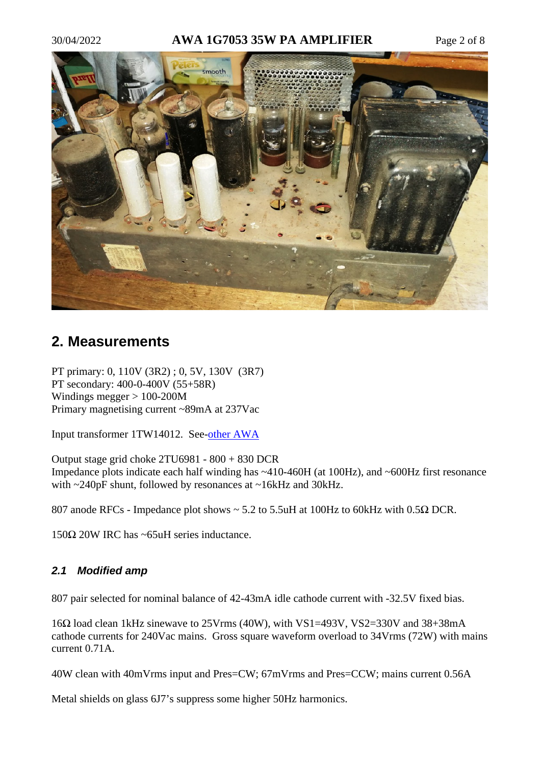### 30/04/2022 **AWA 1G7053 35W PA AMPLIFIER** Page 2 of 8



### **2. Measurements**

PT primary: 0, 110V (3R2) ; 0, 5V, 130V (3R7) PT secondary: 400-0-400V (55+58R) Windings megger > 100-200M Primary magnetising current ~89mA at 237Vac

Input transformer 1TW14012. See[-other AWA](https://www.dalmura.com.au/static/AWA%201G8241.pdf) 

Output stage grid choke 2TU6981 - 800 + 830 DCR Impedance plots indicate each half winding has ~410-460H (at 100Hz), and ~600Hz first resonance with ~240pF shunt, followed by resonances at ~16kHz and 30kHz.

807 anode RFCs - Impedance plot shows ~ 5.2 to 5.5uH at 100Hz to 60kHz with 0.5Ω DCR.

150Ω 20W IRC has ~65uH series inductance.

### *2.1 Modified amp*

807 pair selected for nominal balance of 42-43mA idle cathode current with -32.5V fixed bias.

16Ω load clean 1kHz sinewave to 25Vrms (40W), with VS1=493V, VS2=330V and 38+38mA cathode currents for 240Vac mains. Gross square waveform overload to 34Vrms (72W) with mains current 0.71A.

40W clean with 40mVrms input and Pres=CW; 67mVrms and Pres=CCW; mains current 0.56A

Metal shields on glass 6J7's suppress some higher 50Hz harmonics.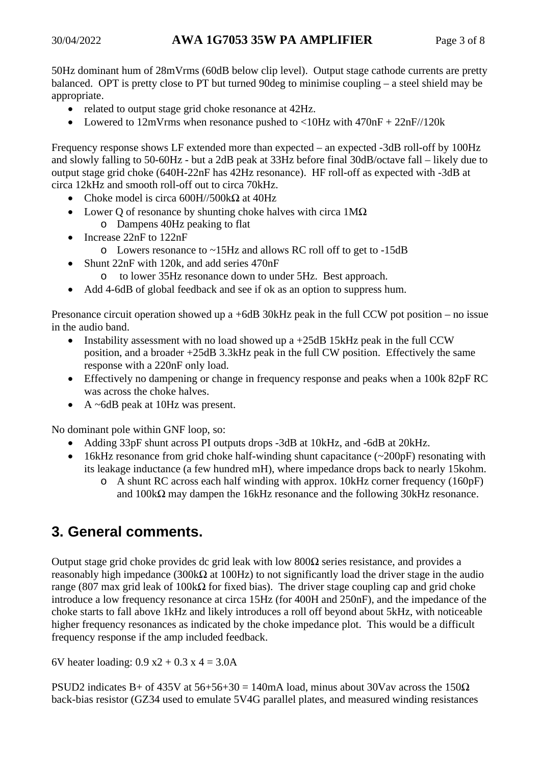50Hz dominant hum of 28mVrms (60dB below clip level). Output stage cathode currents are pretty balanced. OPT is pretty close to PT but turned 90deg to minimise coupling – a steel shield may be appropriate.

- related to output stage grid choke resonance at 42Hz.
- Lowered to  $12 \text{mV}$ rms when resonance pushed to  $\langle 10 \text{Hz} \rangle$  with  $470 \text{nF} + 22 \text{nF}$

Frequency response shows LF extended more than expected – an expected -3dB roll-off by 100Hz and slowly falling to 50-60Hz - but a 2dB peak at 33Hz before final 30dB/octave fall – likely due to output stage grid choke (640H-22nF has 42Hz resonance). HF roll-off as expected with -3dB at circa 12kHz and smooth roll-off out to circa 70kHz.

- Choke model is circa  $600H/500k\Omega$  at  $40Hz$
- Lower Q of resonance by shunting choke halves with circa 1MΩ
	- o Dampens 40Hz peaking to flat
- Increase 22nF to 122nF
	- o Lowers resonance to ~15Hz and allows RC roll off to get to -15dB
- Shunt 22nF with 120k, and add series 470nF
	- o to lower 35Hz resonance down to under 5Hz. Best approach.
- Add 4-6dB of global feedback and see if ok as an option to suppress hum.

Presonance circuit operation showed up a +6dB 30kHz peak in the full CCW pot position – no issue in the audio band.

- Instability assessment with no load showed up a  $+25dB$  15kHz peak in the full CCW position, and a broader +25dB 3.3kHz peak in the full CW position. Effectively the same response with a 220nF only load.
- Effectively no dampening or change in frequency response and peaks when a 100k 82pF RC was across the choke halves.
- A ~6dB peak at 10Hz was present.

No dominant pole within GNF loop, so:

- Adding 33pF shunt across PI outputs drops -3dB at 10kHz, and -6dB at 20kHz.
- 16kHz resonance from grid choke half-winding shunt capacitance (~200pF) resonating with its leakage inductance (a few hundred mH), where impedance drops back to nearly 15kohm.
	- o A shunt RC across each half winding with approx. 10kHz corner frequency (160pF) and  $100k\Omega$  may dampen the 16kHz resonance and the following 30kHz resonance.

### **3. General comments.**

Output stage grid choke provides dc grid leak with low 800Ω series resistance, and provides a reasonably high impedance (300kΩ at 100Hz) to not significantly load the driver stage in the audio range (807 max grid leak of 100kΩ for fixed bias). The driver stage coupling cap and grid choke introduce a low frequency resonance at circa 15Hz (for 400H and 250nF), and the impedance of the choke starts to fall above 1kHz and likely introduces a roll off beyond about 5kHz, with noticeable higher frequency resonances as indicated by the choke impedance plot. This would be a difficult frequency response if the amp included feedback.

6V heater loading:  $0.9 \text{ x}^2 + 0.3 \text{ x}^2 = 3.0 \text{ A}$ 

PSUD2 indicates B+ of 435V at  $56+56+30 = 140$  mA load, minus about 30Vav across the  $150\Omega$ back-bias resistor (GZ34 used to emulate 5V4G parallel plates, and measured winding resistances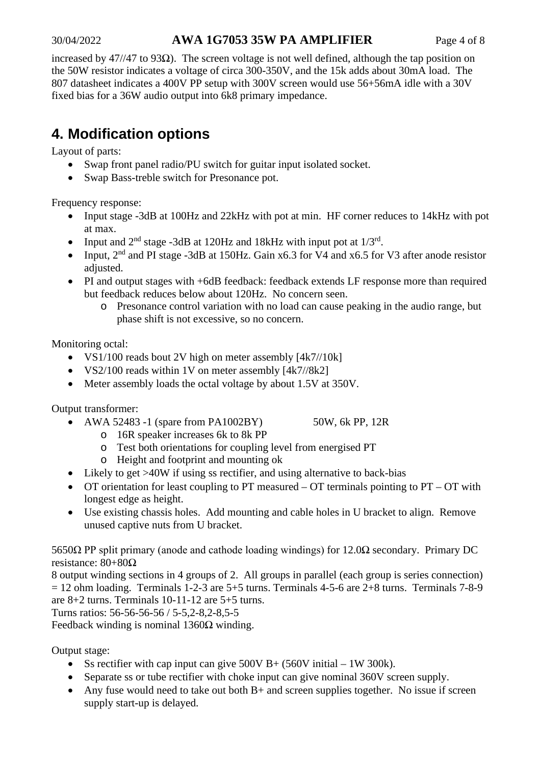### 30/04/2022 **AWA 1G7053 35W PA AMPLIFIER** Page 4 of 8

increased by 47//47 to 93 $\Omega$ ). The screen voltage is not well defined, although the tap position on the 50W resistor indicates a voltage of circa 300-350V, and the 15k adds about 30mA load. The 807 datasheet indicates a 400V PP setup with 300V screen would use 56+56mA idle with a 30V fixed bias for a 36W audio output into 6k8 primary impedance.

# **4. Modification options**

Layout of parts:

- Swap front panel radio/PU switch for guitar input isolated socket.
- Swap Bass-treble switch for Presonance pot.

Frequency response:

- Input stage -3dB at 100Hz and 22kHz with pot at min. HF corner reduces to 14kHz with pot at max.
- Input and  $2<sup>nd</sup>$  stage -3dB at 120Hz and 18kHz with input pot at  $1/3<sup>rd</sup>$ .
- Input,  $2<sup>nd</sup>$  and PI stage -3dB at 150Hz. Gain x6.3 for V4 and x6.5 for V3 after anode resistor adjusted.
- PI and output stages with +6dB feedback: feedback extends LF response more than required but feedback reduces below about 120Hz. No concern seen.
	- o Presonance control variation with no load can cause peaking in the audio range, but phase shift is not excessive, so no concern.

Monitoring octal:

- VS1/100 reads bout 2V high on meter assembly [4k7//10k]
- VS2/100 reads within 1V on meter assembly [4k7//8k2]
- Meter assembly loads the octal voltage by about 1.5V at 350V.

Output transformer:

- AWA 52483 -1 (spare from PA1002BY)  $50W$ , 6k PP, 12R
	- o 16R speaker increases 6k to 8k PP
	- o Test both orientations for coupling level from energised PT
	- o Height and footprint and mounting ok
- Likely to get >40W if using ss rectifier, and using alternative to back-bias
- OT orientation for least coupling to PT measured OT terminals pointing to PT OT with longest edge as height.
- Use existing chassis holes. Add mounting and cable holes in U bracket to align. Remove unused captive nuts from U bracket.

5650Ω PP split primary (anode and cathode loading windings) for 12.0Ω secondary. Primary DC resistance: 80+80Ω

8 output winding sections in 4 groups of 2. All groups in parallel (each group is series connection)  $= 12$  ohm loading. Terminals 1-2-3 are 5+5 turns. Terminals 4-5-6 are 2+8 turns. Terminals 7-8-9 are 8+2 turns. Terminals 10-11-12 are 5+5 turns.

Turns ratios: 56-56-56-56 / 5-5,2-8,2-8,5-5

Feedback winding is nominal  $1360Ω$  winding.

Output stage:

- Ss rectifier with cap input can give  $500V B+ (560V)$  initial 1W 300k).
- Separate ss or tube rectifier with choke input can give nominal 360V screen supply.
- Any fuse would need to take out both B+ and screen supplies together. No issue if screen supply start-up is delayed.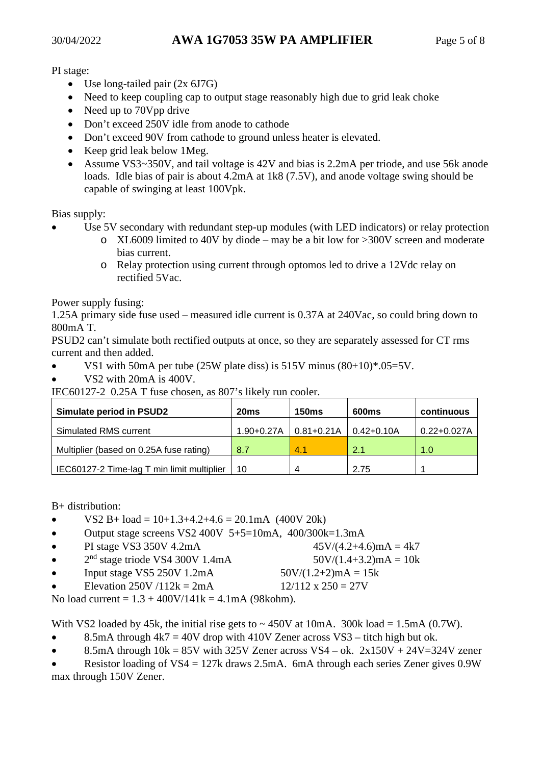PI stage:

- Use long-tailed pair  $(2x 6J7G)$
- Need to keep coupling cap to output stage reasonably high due to grid leak choke
- Need up to 70Vpp drive
- Don't exceed 250V idle from anode to cathode
- Don't exceed 90V from cathode to ground unless heater is elevated.
- Keep grid leak below 1 Meg.
- Assume VS3~350V, and tail voltage is 42V and bias is 2.2mA per triode, and use 56k anode loads. Idle bias of pair is about 4.2mA at 1k8 (7.5V), and anode voltage swing should be capable of swinging at least 100Vpk.

Bias supply:

- Use 5V secondary with redundant step-up modules (with LED indicators) or relay protection
	- o XL6009 limited to 40V by diode may be a bit low for >300V screen and moderate bias current.
	- o Relay protection using current through optomos led to drive a 12Vdc relay on rectified 5Vac.

Power supply fusing:

1.25A primary side fuse used – measured idle current is 0.37A at 240Vac, so could bring down to 800mA T.

PSUD2 can't simulate both rectified outputs at once, so they are separately assessed for CT rms current and then added.

- VS1 with 50mA per tube (25W plate diss) is 515V minus  $(80+10)*.05=5V$ .
- VS2 with 20mA is 400V.

IEC60127-2 0.25A T fuse chosen, as 807's likely run cooler.

| <b>Simulate period in PSUD2</b>            | 20 <sub>ms</sub> | <b>150ms</b>   | 600ms      | continuous      |
|--------------------------------------------|------------------|----------------|------------|-----------------|
| Simulated RMS current                      | $1.90 + 0.27A$   | $0.81 + 0.21A$ | 0.42+0.10A | $0.22 + 0.027A$ |
| Multiplier (based on 0.25A fuse rating)    | 8.7              | 4.1            | 2.1        | 1.0             |
| IEC60127-2 Time-lag T min limit multiplier | 10               |                | 2.75       |                 |

B+ distribution:

- VS2 B + load =  $10+1.3+4.2+4.6 = 20.1 \text{mA}$  (400V 20k)
- Output stage screens VS2 400V  $5+5=10$ mA,  $400/300$ k=1.3mA
- PI stage VS3 350V 4.2mA  $45V/(4.2+4.6)$ mA = 4k7
- $2<sup>nd</sup> stage triode VS4 300V 1.4mA$  50V/(1.4+3.2)mA = 10k
- Input stage VS5 250V 1.2mA  $50V/(1.2+2)mA = 15k$

Elevation 250V /112k = 2mA  $12/112 \times 250 = 27V$ 

No load current =  $1.3 + 400V/141k = 4.1mA$  (98kohm).

With VS2 loaded by 45k, the initial rise gets to  $\sim$  450V at 10mA. 300k load = 1.5mA (0.7W).

- 8.5mA through  $4k7 = 40V$  drop with  $410V$  Zener across VS3 titch high but ok.
- 8.5mA through  $10k = 85V$  with  $325V$  Zener across  $VS4 ok$ .  $2x150V + 24V = 324V$  zener

Resistor loading of  $VS4 = 127k$  draws 2.5mA. 6mA through each series Zener gives 0.9W max through 150V Zener.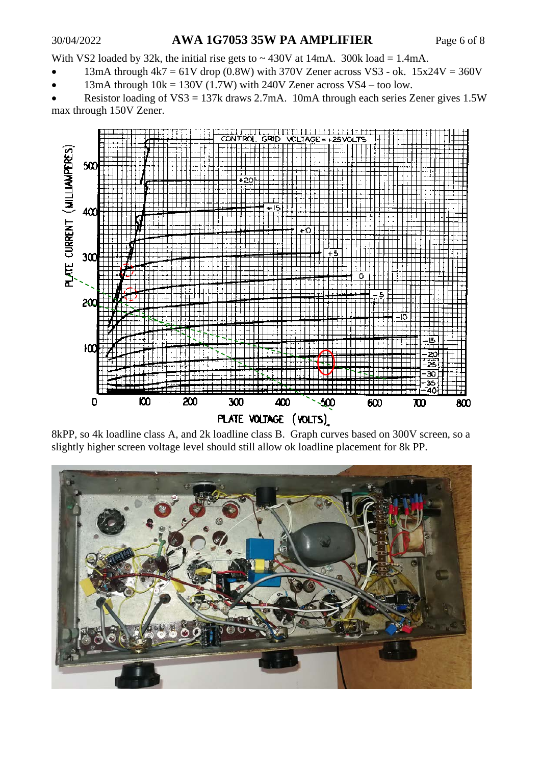#### 30/04/2022 **AWA 1G7053 35W PA AMPLIFIER** Page 6 of 8

With VS2 loaded by 32k, the initial rise gets to  $\sim$  430V at 14mA. 300k load = 1.4mA.

- 13mA through  $4k7 = 61V$  drop (0.8W) with 370V Zener across VS3 ok. 15x24V = 360V
- 13mA through  $10k = 130V$  (1.7W) with 240V Zener across VS4 too low.

Resistor loading of  $VSS = 137k$  draws 2.7mA. 10mA through each series Zener gives 1.5W max through 150V Zener.



8kPP, so 4k loadline class A, and 2k loadline class B. Graph curves based on 300V screen, so a slightly higher screen voltage level should still allow ok loadline placement for 8k PP.

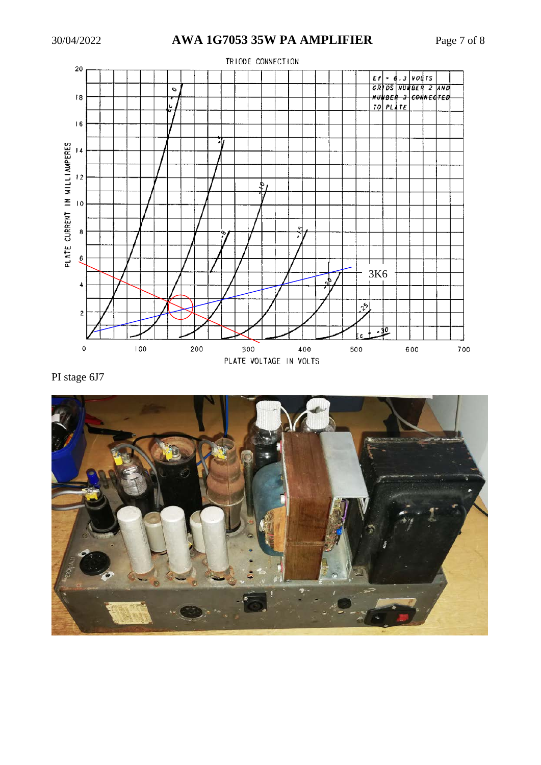

PI stage 6J7

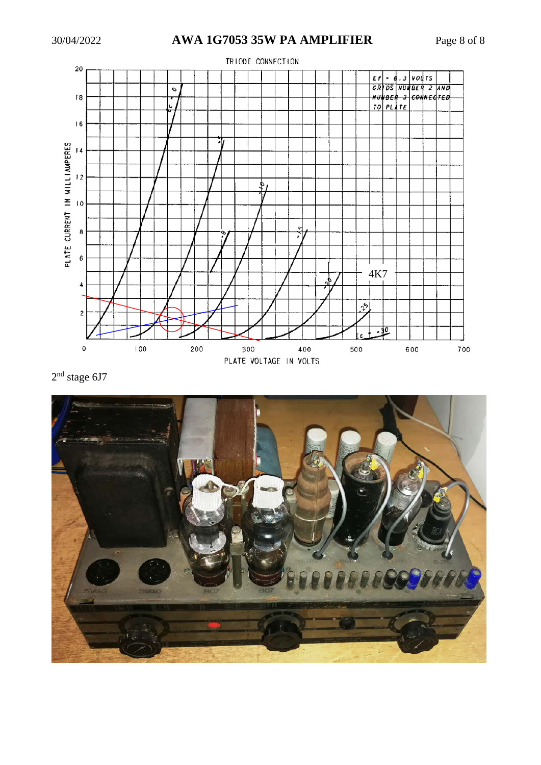

 $2<sup>nd</sup>$  stage 6J7

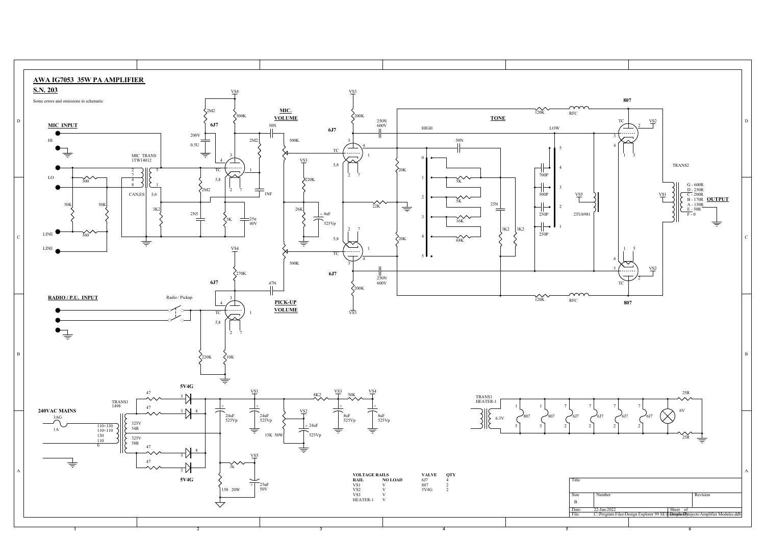